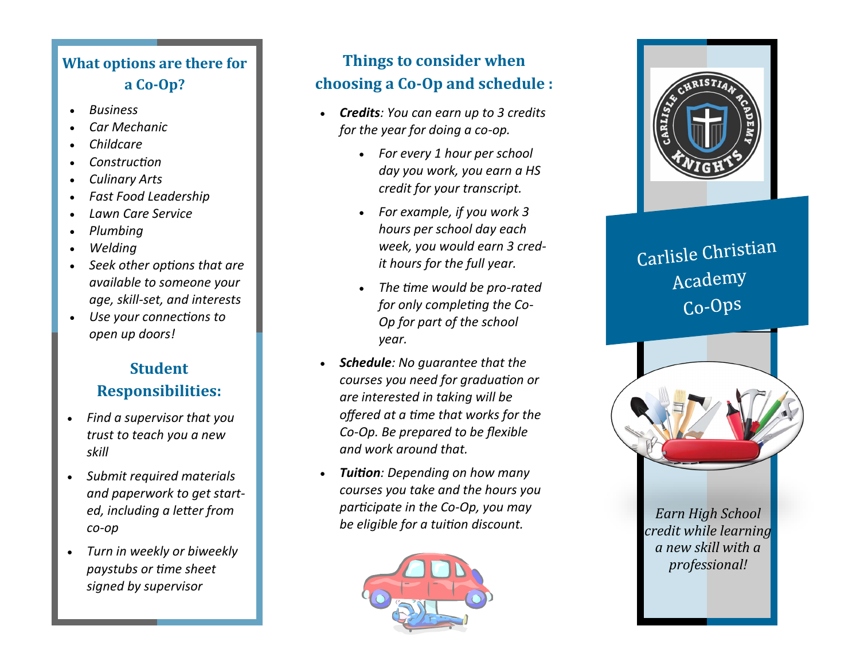## **What options are there for a Co -Op?**

- *Business*
- *Car Mechanic*
- *Childcare*
- *Construction*
- *Culinary Arts*
- *Fast Food Leadership*
- *Lawn Care Service*
- *Plumbing*
- *Welding*
- *Seek other options that are available to someone your age, skill -set, and interests*
- *Use your connections to open up doors!*

### **Student Responsibilities:**

- *Find a supervisor that you trust to teach you a new skill*
- *Submit required materials and paperwork to get started, including a letter from co -op*
- *Turn in weekly or biweekly paystubs or time sheet signed by supervisor*

# **Things to consider when choosing a Co -Op and schedule :**

- *Credits: You can earn up to 3 credits for the year for doing a co -op.* 
	- *For every 1 hour per school day you work, you earn a HS credit for your transcript.*
	- *For example, if you work 3 hours per school day each week, you would earn 3 credit hours for the full year.*
	- *The time would be pro -rated for only completing the Co - Op for part of the school year.*
- *Schedule: No guarantee that the courses you need for graduation or are interested in taking will be offered at a time that works for the Co -Op. Be prepared to be flexible and work around that.*
- *Tuition: Depending on how many courses you take and the hours you participate in the Co -Op, you may be eligible for a tuition discount.*





# Carlisle Christian Academy Co-Ops